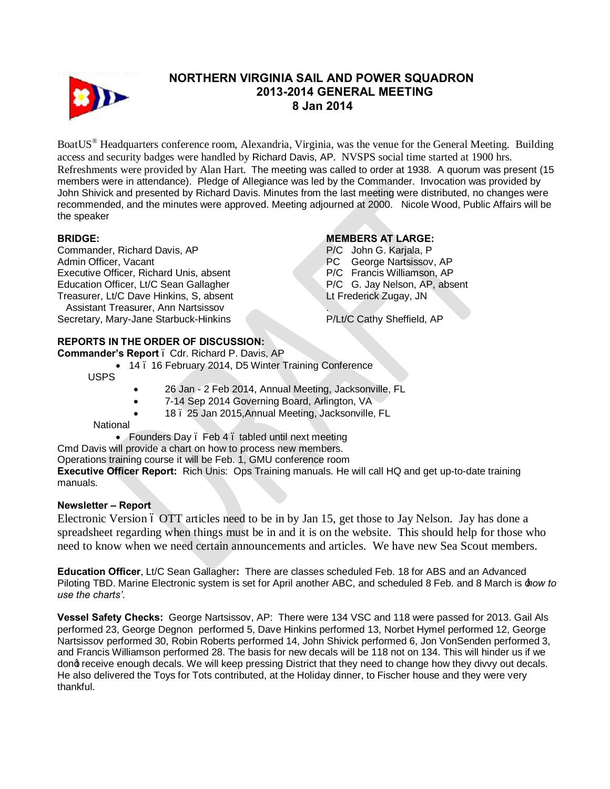

## **NORTHERN VIRGINIA SAIL AND POWER SQUADRON 2013-2014 GENERAL MEETING 8 Jan 2014**

BoatUS® Headquarters conference room, Alexandria, Virginia, was the venue for the General Meeting. Building access and security badges were handled by Richard Davis, AP. NVSPS social time started at 1900 hrs. Refreshments were provided by Alan Hart. The meeting was called to order at 1938. A quorum was present (15 members were in attendance). Pledge of Allegiance was led by the Commander. Invocation was provided by John Shivick and presented by Richard Davis. Minutes from the last meeting were distributed, no changes were recommended, and the minutes were approved. Meeting adjourned at 2000. Nicole Wood, Public Affairs will be the speaker

#### **BRIDGE:**

Commander, Richard Davis, AP Admin Officer, Vacant Executive Officer, Richard Unis, absent Education Officer, Lt/C Sean Gallagher Treasurer, Lt/C Dave Hinkins, S, absent Assistant Treasurer, Ann Nartsissov Secretary, Mary-Jane Starbuck-Hinkins

### **MEMBERS AT LARGE:**

P/C John G. Karjala, P PC George Nartsissov, AP P/C Francis Williamson, AP P/C G. Jay Nelson, AP, absent Lt Frederick Zugay, JN .

P/Lt/C Cathy Sheffield, AP

# **REPORTS IN THE ORDER OF DISCUSSION:**

**Commander's Report** – Cdr. Richard P. Davis, AP

14 . 16 February 2014, D5 Winter Training Conference

USPS

- 26 Jan 2 Feb 2014, Annual Meeting, Jacksonville, FL
	- 7-14 Sep 2014 Governing Board, Arlington, VA
- · 18 25 Jan 2015,Annual Meeting, Jacksonville, FL

#### **National**

• Founders Day . Feb 4 . tabled until next meeting

Cmd Davis will provide a chart on how to process new members.

Operations training course it will be Feb. 1, GMU conference room

**Executive Officer Report:** Rich Unis: Ops Training manuals. He will call HQ and get up-to-date training manuals.

# **Newsletter – Report**

Electronic Version ó OTT articles need to be in by Jan 15, get those to Jay Nelson. Jay has done a spreadsheet regarding when things must be in and it is on the website. This should help for those who need to know when we need certain announcements and articles. We have new Sea Scout members.

**Education Officer**, Lt/C Sean Gallagher**:** There are classes scheduled Feb. 18 for ABS and an Advanced Piloting TBD. Marine Electronic system is set for April another ABC, and scheduled 8 Feb. and 8 March is '*how to use the charts'*.

**Vessel Safety Checks:** George Nartsissov, AP: There were 134 VSC and 118 were passed for 2013. Gail Als performed 23, George Degnon performed 5, Dave Hinkins performed 13, Norbet Hymel performed 12, George Nartsissov performed 30, Robin Roberts performed 14, John Shivick performed 6, Jon VonSenden performed 3, and Francis Williamson performed 28. The basis for new decals will be 118 not on 134. This will hinder us if we dong receive enough decals. We will keep pressing District that they need to change how they divvy out decals. He also delivered the Toys for Tots contributed, at the Holiday dinner, to Fischer house and they were very thankful.